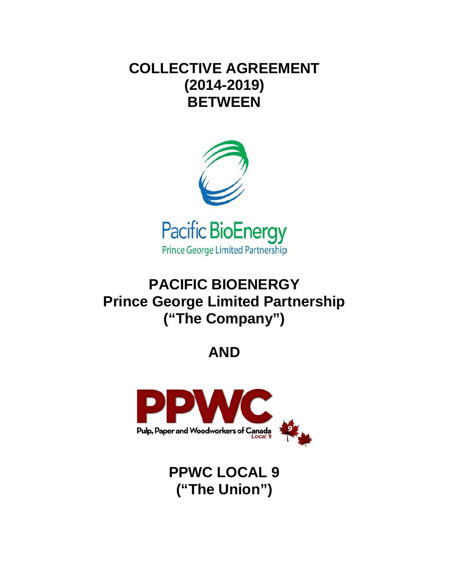# **COLLECTIVE AGREEMENT (2014-2019) BETWEEN**



**Prince George Limited Partnership** 

# **PACIFIC BIOENERGY Prince George Limited Partnership ("The Company")**

# **AND**



**PPWC LOCAL 9 ("The Union")**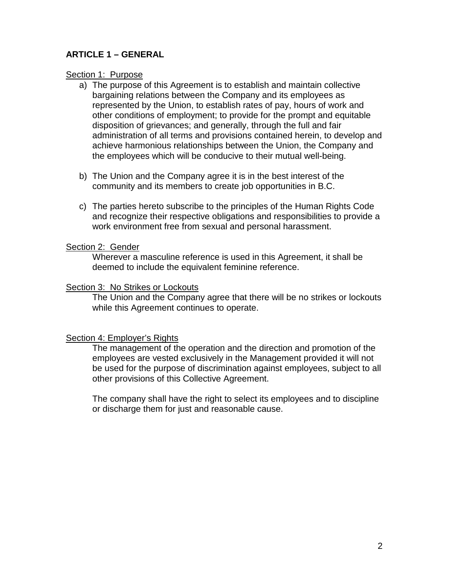## **ARTICLE 1 – GENERAL**

#### Section 1: Purpose

- a) The purpose of this Agreement is to establish and maintain collective bargaining relations between the Company and its employees as represented by the Union, to establish rates of pay, hours of work and other conditions of employment; to provide for the prompt and equitable disposition of grievances; and generally, through the full and fair administration of all terms and provisions contained herein, to develop and achieve harmonious relationships between the Union, the Company and the employees which will be conducive to their mutual well-being.
- b) The Union and the Company agree it is in the best interest of the community and its members to create job opportunities in B.C.
- c) The parties hereto subscribe to the principles of the Human Rights Code and recognize their respective obligations and responsibilities to provide a work environment free from sexual and personal harassment.

#### Section 2: Gender

Wherever a masculine reference is used in this Agreement, it shall be deemed to include the equivalent feminine reference.

## Section 3: No Strikes or Lockouts

The Union and the Company agree that there will be no strikes or lockouts while this Agreement continues to operate.

## Section 4: Employer's Rights

The management of the operation and the direction and promotion of the employees are vested exclusively in the Management provided it will not be used for the purpose of discrimination against employees, subject to all other provisions of this Collective Agreement.

The company shall have the right to select its employees and to discipline or discharge them for just and reasonable cause.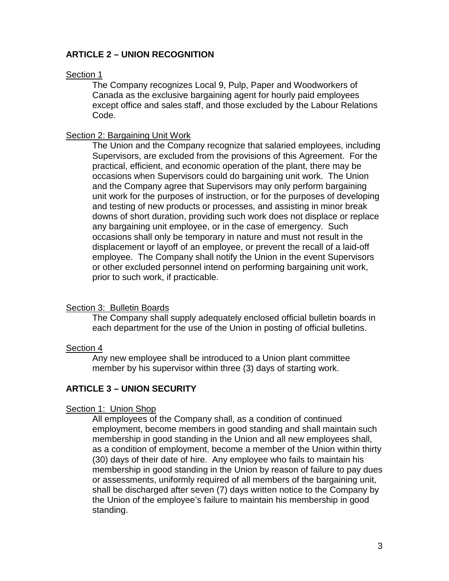## **ARTICLE 2 – UNION RECOGNITION**

#### Section 1

The Company recognizes Local 9, Pulp, Paper and Woodworkers of Canada as the exclusive bargaining agent for hourly paid employees except office and sales staff, and those excluded by the Labour Relations Code.

#### Section 2: Bargaining Unit Work

The Union and the Company recognize that salaried employees, including Supervisors, are excluded from the provisions of this Agreement. For the practical, efficient, and economic operation of the plant, there may be occasions when Supervisors could do bargaining unit work. The Union and the Company agree that Supervisors may only perform bargaining unit work for the purposes of instruction, or for the purposes of developing and testing of new products or processes, and assisting in minor break downs of short duration, providing such work does not displace or replace any bargaining unit employee, or in the case of emergency. Such occasions shall only be temporary in nature and must not result in the displacement or layoff of an employee, or prevent the recall of a laid-off employee. The Company shall notify the Union in the event Supervisors or other excluded personnel intend on performing bargaining unit work, prior to such work, if practicable.

## Section 3: Bulletin Boards

The Company shall supply adequately enclosed official bulletin boards in each department for the use of the Union in posting of official bulletins.

## Section 4

Any new employee shall be introduced to a Union plant committee member by his supervisor within three (3) days of starting work.

## **ARTICLE 3 – UNION SECURITY**

## Section 1: Union Shop

All employees of the Company shall, as a condition of continued employment, become members in good standing and shall maintain such membership in good standing in the Union and all new employees shall, as a condition of employment, become a member of the Union within thirty (30) days of their date of hire. Any employee who fails to maintain his membership in good standing in the Union by reason of failure to pay dues or assessments, uniformly required of all members of the bargaining unit, shall be discharged after seven (7) days written notice to the Company by the Union of the employee's failure to maintain his membership in good standing.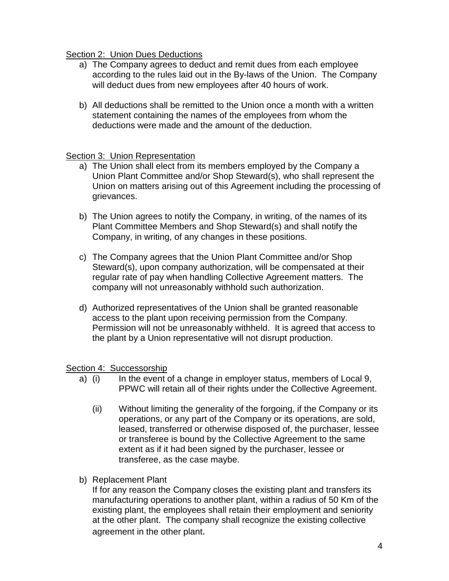## Section 2: Union Dues Deductions

- a) The Company agrees to deduct and remit dues from each employee according to the rules laid out in the By-laws of the Union. The Company will deduct dues from new employees after 40 hours of work.
- b) All deductions shall be remitted to the Union once a month with a written statement containing the names of the employees from whom the deductions were made and the amount of the deduction.

## Section 3: Union Representation

- a) The Union shall elect from its members employed by the Company a Union Plant Committee and/or Shop Steward(s), who shall represent the Union on matters arising out of this Agreement including the processing of grievances.
- b) The Union agrees to notify the Company, in writing, of the names of its Plant Committee Members and Shop Steward(s) and shall notify the Company, in writing, of any changes in these positions.
- c) The Company agrees that the Union Plant Committee and/or Shop Steward(s), upon company authorization, will be compensated at their regular rate of pay when handling Collective Agreement matters. The company will not unreasonably withhold such authorization.
- d) Authorized representatives of the Union shall be granted reasonable access to the plant upon receiving permission from the Company. Permission will not be unreasonably withheld. It is agreed that access to the plant by a Union representative will not disrupt production.

## Section 4: Successorship

- a) (i) In the event of a change in employer status, members of Local 9, PPWC will retain all of their rights under the Collective Agreement.
	- (ii) Without limiting the generality of the forgoing, if the Company or its operations, or any part of the Company or its operations, are sold, leased, transferred or otherwise disposed of, the purchaser, lessee or transferee is bound by the Collective Agreement to the same extent as if it had been signed by the purchaser, lessee or transferee, as the case maybe.
- b) Replacement Plant

If for any reason the Company closes the existing plant and transfers its manufacturing operations to another plant, within a radius of 50 Km of the existing plant, the employees shall retain their employment and seniority at the other plant. The company shall recognize the existing collective agreement in the other plant.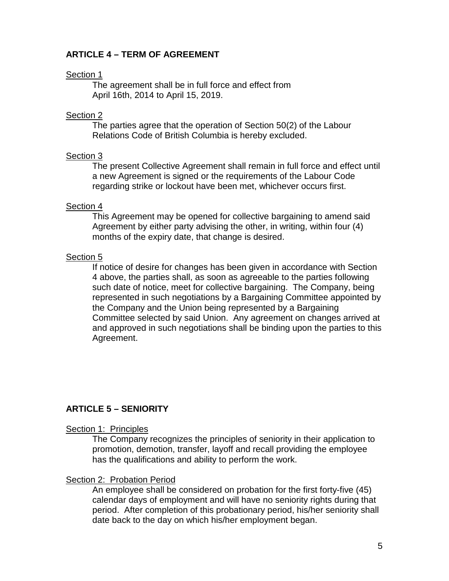## **ARTICLE 4 – TERM OF AGREEMENT**

## Section 1

The agreement shall be in full force and effect from April 16th, 2014 to April 15, 2019.

## Section 2

The parties agree that the operation of Section 50(2) of the Labour Relations Code of British Columbia is hereby excluded.

## Section 3

The present Collective Agreement shall remain in full force and effect until a new Agreement is signed or the requirements of the Labour Code regarding strike or lockout have been met, whichever occurs first.

## Section 4

This Agreement may be opened for collective bargaining to amend said Agreement by either party advising the other, in writing, within four (4) months of the expiry date, that change is desired.

## Section 5

If notice of desire for changes has been given in accordance with Section 4 above, the parties shall, as soon as agreeable to the parties following such date of notice, meet for collective bargaining. The Company, being represented in such negotiations by a Bargaining Committee appointed by the Company and the Union being represented by a Bargaining Committee selected by said Union. Any agreement on changes arrived at and approved in such negotiations shall be binding upon the parties to this Agreement.

# **ARTICLE 5 – SENIORITY**

## Section 1: Principles

The Company recognizes the principles of seniority in their application to promotion, demotion, transfer, layoff and recall providing the employee has the qualifications and ability to perform the work.

## **Section 2: Probation Period**

An employee shall be considered on probation for the first forty-five (45) calendar days of employment and will have no seniority rights during that period. After completion of this probationary period, his/her seniority shall date back to the day on which his/her employment began.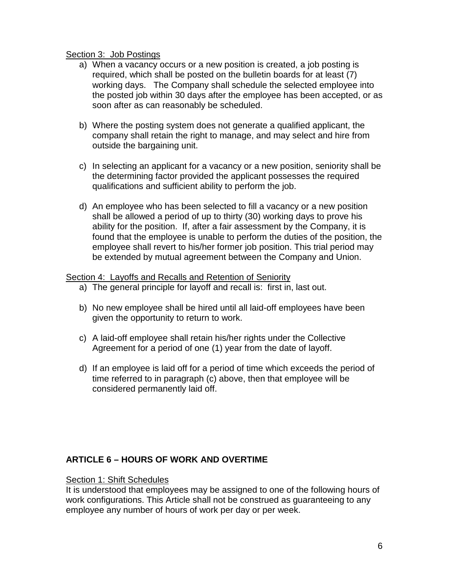#### Section 3: Job Postings

- a) When a vacancy occurs or a new position is created, a job posting is required, which shall be posted on the bulletin boards for at least (7) working days. The Company shall schedule the selected employee into the posted job within 30 days after the employee has been accepted, or as soon after as can reasonably be scheduled.
- b) Where the posting system does not generate a qualified applicant, the company shall retain the right to manage, and may select and hire from outside the bargaining unit.
- c) In selecting an applicant for a vacancy or a new position, seniority shall be the determining factor provided the applicant possesses the required qualifications and sufficient ability to perform the job.
- d) An employee who has been selected to fill a vacancy or a new position shall be allowed a period of up to thirty (30) working days to prove his ability for the position. If, after a fair assessment by the Company, it is found that the employee is unable to perform the duties of the position, the employee shall revert to his/her former job position. This trial period may be extended by mutual agreement between the Company and Union.

#### Section 4: Layoffs and Recalls and Retention of Seniority

- a) The general principle for layoff and recall is: first in, last out.
- b) No new employee shall be hired until all laid-off employees have been given the opportunity to return to work.
- c) A laid-off employee shall retain his/her rights under the Collective Agreement for a period of one (1) year from the date of layoff.
- d) If an employee is laid off for a period of time which exceeds the period of time referred to in paragraph (c) above, then that employee will be considered permanently laid off.

## **ARTICLE 6 – HOURS OF WORK AND OVERTIME**

#### Section 1: Shift Schedules

It is understood that employees may be assigned to one of the following hours of work configurations. This Article shall not be construed as guaranteeing to any employee any number of hours of work per day or per week.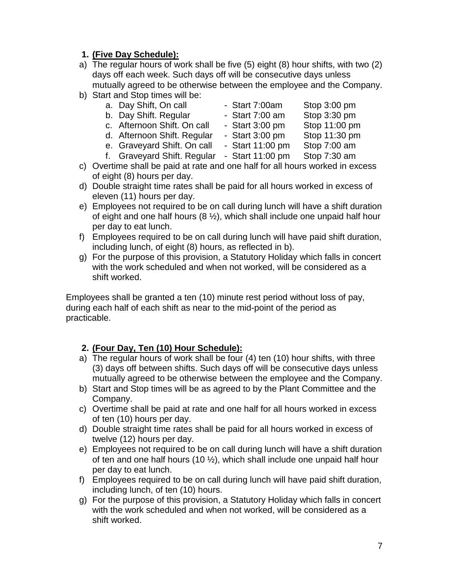## **1. (Five Day Schedule):**

- a) The regular hours of work shall be five (5) eight (8) hour shifts, with two (2) days off each week. Such days off will be consecutive days unless mutually agreed to be otherwise between the employee and the Company.
- b) Start and Stop times will be:
	-
	- b. Day Shift. Regular Start 7:00 am Stop 3:30 pm
	- a. Day Shift, On call Start 7:00am Stop 3:00 pm
	- c. Afternoon Shift. On call Start 3:00 pm Stop 11:00 pm
		-
	- d. Afternoon Shift. Regular Start 3:00 pm Stop 11:30 pm
- -
	- e. Graveyard Shift. On call Start 11:00 pm Stop 7:00 am
	- f. Graveyard Shift. Regular Start 11:00 pm Stop 7:30 am
- c) Overtime shall be paid at rate and one half for all hours worked in excess of eight (8) hours per day.
- d) Double straight time rates shall be paid for all hours worked in excess of eleven (11) hours per day.
- e) Employees not required to be on call during lunch will have a shift duration of eight and one half hours  $(8 \frac{1}{2})$ , which shall include one unpaid half hour per day to eat lunch.
- f) Employees required to be on call during lunch will have paid shift duration, including lunch, of eight (8) hours, as reflected in b).
- g) For the purpose of this provision, a Statutory Holiday which falls in concert with the work scheduled and when not worked, will be considered as a shift worked.

Employees shall be granted a ten (10) minute rest period without loss of pay, during each half of each shift as near to the mid-point of the period as practicable.

# **2. (Four Day, Ten (10) Hour Schedule):**

- a) The regular hours of work shall be four (4) ten (10) hour shifts, with three (3) days off between shifts. Such days off will be consecutive days unless mutually agreed to be otherwise between the employee and the Company.
- b) Start and Stop times will be as agreed to by the Plant Committee and the Company.
- c) Overtime shall be paid at rate and one half for all hours worked in excess of ten (10) hours per day.
- d) Double straight time rates shall be paid for all hours worked in excess of twelve (12) hours per day.
- e) Employees not required to be on call during lunch will have a shift duration of ten and one half hours (10  $\frac{1}{2}$ ), which shall include one unpaid half hour per day to eat lunch.
- f) Employees required to be on call during lunch will have paid shift duration, including lunch, of ten (10) hours.
- g) For the purpose of this provision, a Statutory Holiday which falls in concert with the work scheduled and when not worked, will be considered as a shift worked.
- 
- -
	-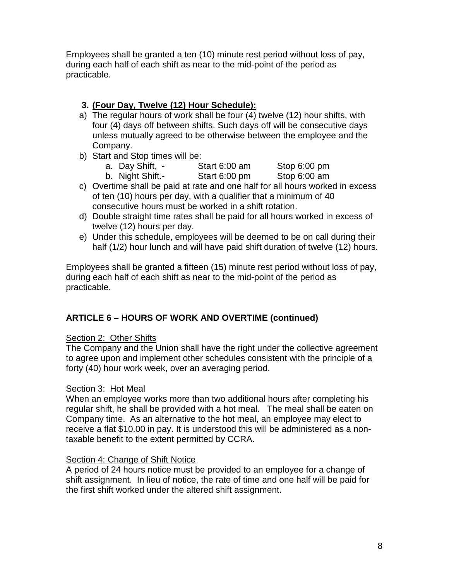Employees shall be granted a ten (10) minute rest period without loss of pay, during each half of each shift as near to the mid-point of the period as practicable.

## **3. (Four Day, Twelve (12) Hour Schedule):**

- a) The regular hours of work shall be four (4) twelve (12) hour shifts, with four (4) days off between shifts. Such days off will be consecutive days unless mutually agreed to be otherwise between the employee and the Company.
- b) Start and Stop times will be:
	- a. Day Shift, Start 6:00 am Stop 6:00 pm
	- b. Night Shift.- Start 6:00 pm Stop 6:00 am
- c) Overtime shall be paid at rate and one half for all hours worked in excess of ten (10) hours per day, with a qualifier that a minimum of 40 consecutive hours must be worked in a shift rotation.
- d) Double straight time rates shall be paid for all hours worked in excess of twelve (12) hours per day.
- e) Under this schedule, employees will be deemed to be on call during their half (1/2) hour lunch and will have paid shift duration of twelve (12) hours.

Employees shall be granted a fifteen (15) minute rest period without loss of pay, during each half of each shift as near to the mid-point of the period as practicable.

# **ARTICLE 6 – HOURS OF WORK AND OVERTIME (continued)**

## Section 2: Other Shifts

The Company and the Union shall have the right under the collective agreement to agree upon and implement other schedules consistent with the principle of a forty (40) hour work week, over an averaging period.

## Section 3: Hot Meal

When an employee works more than two additional hours after completing his regular shift, he shall be provided with a hot meal. The meal shall be eaten on Company time. As an alternative to the hot meal, an employee may elect to receive a flat \$10.00 in pay. It is understood this will be administered as a nontaxable benefit to the extent permitted by CCRA.

## Section 4: Change of Shift Notice

A period of 24 hours notice must be provided to an employee for a change of shift assignment. In lieu of notice, the rate of time and one half will be paid for the first shift worked under the altered shift assignment.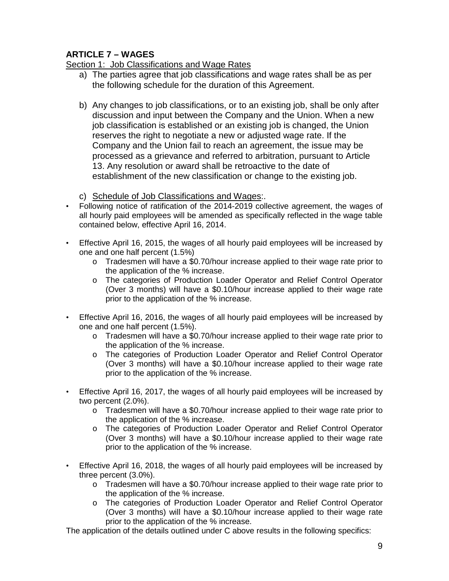# **ARTICLE 7 – WAGES**

Section 1: Job Classifications and Wage Rates

- a) The parties agree that job classifications and wage rates shall be as per the following schedule for the duration of this Agreement.
- b) Any changes to job classifications, or to an existing job, shall be only after discussion and input between the Company and the Union. When a new job classification is established or an existing job is changed, the Union reserves the right to negotiate a new or adjusted wage rate. If the Company and the Union fail to reach an agreement, the issue may be processed as a grievance and referred to arbitration, pursuant to Article 13. Any resolution or award shall be retroactive to the date of establishment of the new classification or change to the existing job.
- c) Schedule of Job Classifications and Wages:.
- Following notice of ratification of the 2014-2019 collective agreement, the wages of all hourly paid employees will be amended as specifically reflected in the wage table contained below, effective April 16, 2014.
- Effective April 16, 2015, the wages of all hourly paid employees will be increased by one and one half percent (1.5%)
	- o Tradesmen will have a \$0.70/hour increase applied to their wage rate prior to the application of the % increase.
	- o The categories of Production Loader Operator and Relief Control Operator (Over 3 months) will have a \$0.10/hour increase applied to their wage rate prior to the application of the % increase.
- Effective April 16, 2016, the wages of all hourly paid employees will be increased by one and one half percent (1.5%).
	- o Tradesmen will have a \$0.70/hour increase applied to their wage rate prior to the application of the % increase.
	- o The categories of Production Loader Operator and Relief Control Operator (Over 3 months) will have a \$0.10/hour increase applied to their wage rate prior to the application of the % increase.
- Effective April 16, 2017, the wages of all hourly paid employees will be increased by two percent (2.0%).
	- $\circ$  Tradesmen will have a \$0.70/hour increase applied to their wage rate prior to the application of the % increase.
	- o The categories of Production Loader Operator and Relief Control Operator (Over 3 months) will have a \$0.10/hour increase applied to their wage rate prior to the application of the % increase.
- Effective April 16, 2018, the wages of all hourly paid employees will be increased by three percent (3.0%).
	- o Tradesmen will have a \$0.70/hour increase applied to their wage rate prior to the application of the % increase.
	- o The categories of Production Loader Operator and Relief Control Operator (Over 3 months) will have a \$0.10/hour increase applied to their wage rate prior to the application of the % increase.

The application of the details outlined under C above results in the following specifics: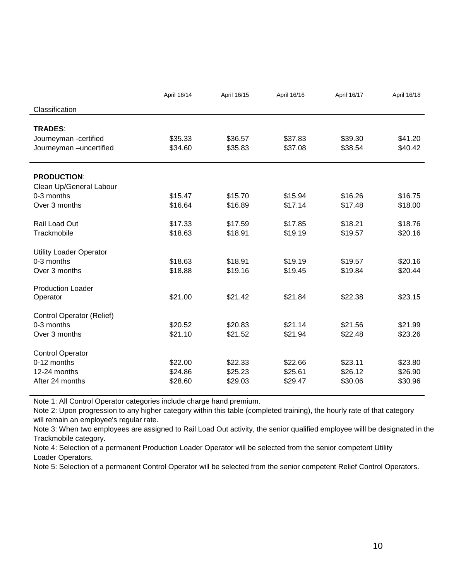|                                  | April 16/14 | April 16/15 | April 16/16 | April 16/17 | April 16/18 |
|----------------------------------|-------------|-------------|-------------|-------------|-------------|
| Classification                   |             |             |             |             |             |
|                                  |             |             |             |             |             |
| <b>TRADES:</b>                   |             |             |             |             |             |
| Journeyman -certified            | \$35.33     | \$36.57     | \$37.83     | \$39.30     | \$41.20     |
| Journeyman -uncertified          | \$34.60     | \$35.83     | \$37.08     | \$38.54     | \$40.42     |
| <b>PRODUCTION:</b>               |             |             |             |             |             |
| Clean Up/General Labour          |             |             |             |             |             |
| 0-3 months                       | \$15.47     | \$15.70     | \$15.94     | \$16.26     | \$16.75     |
| Over 3 months                    | \$16.64     | \$16.89     | \$17.14     | \$17.48     | \$18.00     |
| Rail Load Out                    | \$17.33     | \$17.59     | \$17.85     | \$18.21     | \$18.76     |
| Trackmobile                      | \$18.63     | \$18.91     | \$19.19     | \$19.57     | \$20.16     |
| <b>Utility Loader Operator</b>   |             |             |             |             |             |
| 0-3 months                       | \$18.63     | \$18.91     | \$19.19     | \$19.57     | \$20.16     |
| Over 3 months                    | \$18.88     | \$19.16     | \$19.45     | \$19.84     | \$20.44     |
| <b>Production Loader</b>         |             |             |             |             |             |
| Operator                         | \$21.00     | \$21.42     | \$21.84     | \$22.38     | \$23.15     |
| <b>Control Operator (Relief)</b> |             |             |             |             |             |
| 0-3 months                       | \$20.52     | \$20.83     | \$21.14     | \$21.56     | \$21.99     |
| Over 3 months                    | \$21.10     | \$21.52     | \$21.94     | \$22.48     | \$23.26     |
| <b>Control Operator</b>          |             |             |             |             |             |
| 0-12 months                      | \$22.00     | \$22.33     | \$22.66     | \$23.11     | \$23.80     |
| 12-24 months                     | \$24.86     | \$25.23     | \$25.61     | \$26.12     | \$26.90     |
| After 24 months                  | \$28.60     | \$29.03     | \$29.47     | \$30.06     | \$30.96     |

Note 1: All Control Operator categories include charge hand premium.

Note 2: Upon progression to any higher category within this table (completed training), the hourly rate of that category will remain an employee's regular rate.

Note 3: When two employees are assigned to Rail Load Out activity, the senior qualified employee willl be designated in the Trackmobile category.

Note 4: Selection of a permanent Production Loader Operator will be selected from the senior competent Utility Loader Operators.

Note 5: Selection of a permanent Control Operator will be selected from the senior competent Relief Control Operators.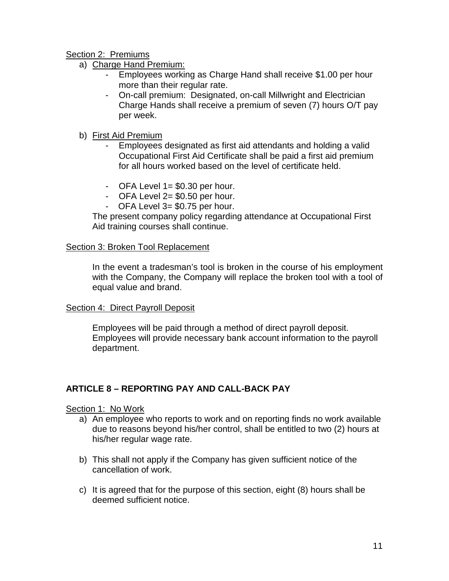Section 2: Premiums

- a) Charge Hand Premium:
	- Employees working as Charge Hand shall receive \$1.00 per hour more than their regular rate.
	- On-call premium: Designated, on-call Millwright and Electrician Charge Hands shall receive a premium of seven (7) hours O/T pay per week.
- b) First Aid Premium
	- Employees designated as first aid attendants and holding a valid Occupational First Aid Certificate shall be paid a first aid premium for all hours worked based on the level of certificate held.
	- OFA Level  $1 = $0.30$  per hour.
	- OFA Level  $2= $0.50$  per hour.
	- OFA Level 3= \$0.75 per hour.

The present company policy regarding attendance at Occupational First Aid training courses shall continue.

## Section 3: Broken Tool Replacement

In the event a tradesman's tool is broken in the course of his employment with the Company, the Company will replace the broken tool with a tool of equal value and brand.

## Section 4: Direct Payroll Deposit

Employees will be paid through a method of direct payroll deposit. Employees will provide necessary bank account information to the payroll department.

## **ARTICLE 8 – REPORTING PAY AND CALL-BACK PAY**

Section 1: No Work

- a) An employee who reports to work and on reporting finds no work available due to reasons beyond his/her control, shall be entitled to two (2) hours at his/her regular wage rate.
- b) This shall not apply if the Company has given sufficient notice of the cancellation of work.
- c) It is agreed that for the purpose of this section, eight (8) hours shall be deemed sufficient notice.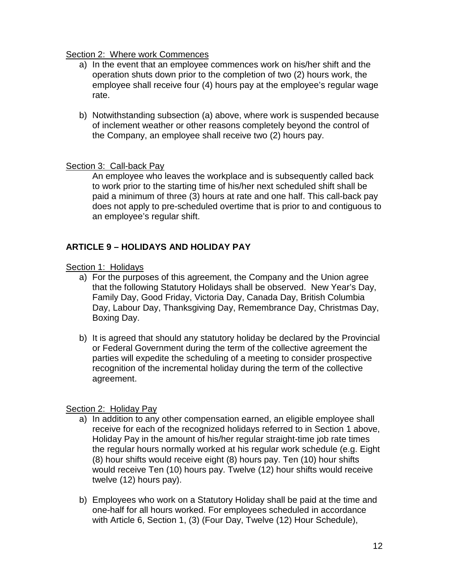## Section 2: Where work Commences

- a) In the event that an employee commences work on his/her shift and the operation shuts down prior to the completion of two (2) hours work, the employee shall receive four (4) hours pay at the employee's regular wage rate.
- b) Notwithstanding subsection (a) above, where work is suspended because of inclement weather or other reasons completely beyond the control of the Company, an employee shall receive two (2) hours pay.

## Section 3: Call-back Pay

An employee who leaves the workplace and is subsequently called back to work prior to the starting time of his/her next scheduled shift shall be paid a minimum of three (3) hours at rate and one half. This call-back pay does not apply to pre-scheduled overtime that is prior to and contiguous to an employee's regular shift.

## **ARTICLE 9 – HOLIDAYS AND HOLIDAY PAY**

## Section 1: Holidavs

- a) For the purposes of this agreement, the Company and the Union agree that the following Statutory Holidays shall be observed. New Year's Day, Family Day, Good Friday, Victoria Day, Canada Day, British Columbia Day, Labour Day, Thanksgiving Day, Remembrance Day, Christmas Day, Boxing Day.
- b) It is agreed that should any statutory holiday be declared by the Provincial or Federal Government during the term of the collective agreement the parties will expedite the scheduling of a meeting to consider prospective recognition of the incremental holiday during the term of the collective agreement.

## Section 2: Holiday Pay

- a) In addition to any other compensation earned, an eligible employee shall receive for each of the recognized holidays referred to in Section 1 above, Holiday Pay in the amount of his/her regular straight-time job rate times the regular hours normally worked at his regular work schedule (e.g. Eight (8) hour shifts would receive eight (8) hours pay. Ten (10) hour shifts would receive Ten (10) hours pay. Twelve (12) hour shifts would receive twelve (12) hours pay).
- b) Employees who work on a Statutory Holiday shall be paid at the time and one-half for all hours worked. For employees scheduled in accordance with Article 6, Section 1, (3) (Four Day, Twelve (12) Hour Schedule),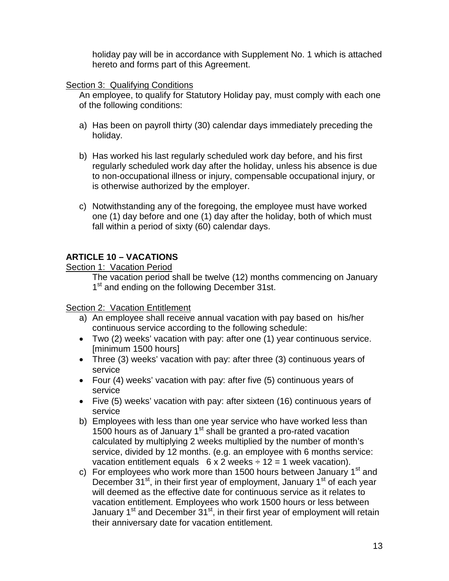holiday pay will be in accordance with Supplement No. 1 which is attached hereto and forms part of this Agreement.

## Section 3: Qualifying Conditions

An employee, to qualify for Statutory Holiday pay, must comply with each one of the following conditions:

- a) Has been on payroll thirty (30) calendar days immediately preceding the holiday.
- b) Has worked his last regularly scheduled work day before, and his first regularly scheduled work day after the holiday, unless his absence is due to non-occupational illness or injury, compensable occupational injury, or is otherwise authorized by the employer.
- c) Notwithstanding any of the foregoing, the employee must have worked one (1) day before and one (1) day after the holiday, both of which must fall within a period of sixty (60) calendar days.

## **ARTICLE 10 – VACATIONS**

Section 1: Vacation Period

The vacation period shall be twelve (12) months commencing on January 1<sup>st</sup> and ending on the following December 31st.

## Section 2: Vacation Entitlement

- a) An employee shall receive annual vacation with pay based on his/her continuous service according to the following schedule:
- Two (2) weeks' vacation with pay: after one (1) year continuous service. [minimum 1500 hours]
- Three (3) weeks' vacation with pay: after three (3) continuous years of service
- Four (4) weeks' vacation with pay: after five (5) continuous years of service
- Five (5) weeks' vacation with pay: after sixteen (16) continuous years of service
- b) Employees with less than one year service who have worked less than 1500 hours as of January  $1<sup>st</sup>$  shall be granted a pro-rated vacation calculated by multiplying 2 weeks multiplied by the number of month's service, divided by 12 months. (e.g. an employee with 6 months service: vacation entitlement equals  $6 \times 2$  weeks  $\div 12 = 1$  week vacation).
- c) For employees who work more than 1500 hours between January  $1<sup>st</sup>$  and December 31<sup>st</sup>, in their first year of employment, January 1<sup>st</sup> of each year will deemed as the effective date for continuous service as it relates to vacation entitlement. Employees who work 1500 hours or less between January  $1<sup>st</sup>$  and December  $31<sup>st</sup>$ , in their first year of employment will retain their anniversary date for vacation entitlement.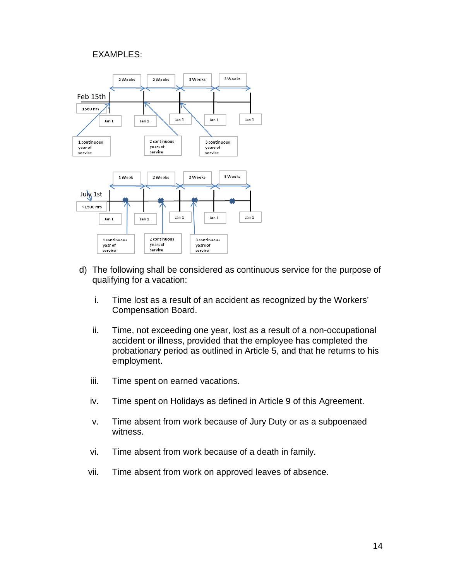#### EXAMPLES:



- d) The following shall be considered as continuous service for the purpose of qualifying for a vacation:
	- i. Time lost as a result of an accident as recognized by the Workers' Compensation Board.
	- ii. Time, not exceeding one year, lost as a result of a non-occupational accident or illness, provided that the employee has completed the probationary period as outlined in Article 5, and that he returns to his employment.
	- iii. Time spent on earned vacations.
	- iv. Time spent on Holidays as defined in Article 9 of this Agreement.
	- v. Time absent from work because of Jury Duty or as a subpoenaed witness.
	- vi. Time absent from work because of a death in family.
	- vii. Time absent from work on approved leaves of absence.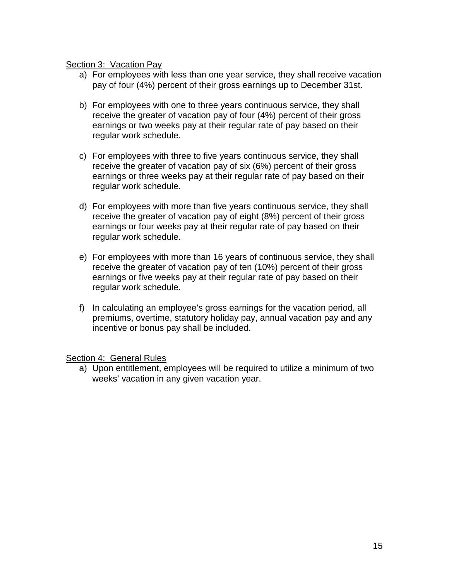#### Section 3: Vacation Pay

- a) For employees with less than one year service, they shall receive vacation pay of four (4%) percent of their gross earnings up to December 31st.
- b) For employees with one to three years continuous service, they shall receive the greater of vacation pay of four (4%) percent of their gross earnings or two weeks pay at their regular rate of pay based on their regular work schedule.
- c) For employees with three to five years continuous service, they shall receive the greater of vacation pay of six (6%) percent of their gross earnings or three weeks pay at their regular rate of pay based on their regular work schedule.
- d) For employees with more than five years continuous service, they shall receive the greater of vacation pay of eight (8%) percent of their gross earnings or four weeks pay at their regular rate of pay based on their regular work schedule.
- e) For employees with more than 16 years of continuous service, they shall receive the greater of vacation pay of ten (10%) percent of their gross earnings or five weeks pay at their regular rate of pay based on their regular work schedule.
- f) In calculating an employee's gross earnings for the vacation period, all premiums, overtime, statutory holiday pay, annual vacation pay and any incentive or bonus pay shall be included.

Section 4: General Rules

a) Upon entitlement, employees will be required to utilize a minimum of two weeks' vacation in any given vacation year.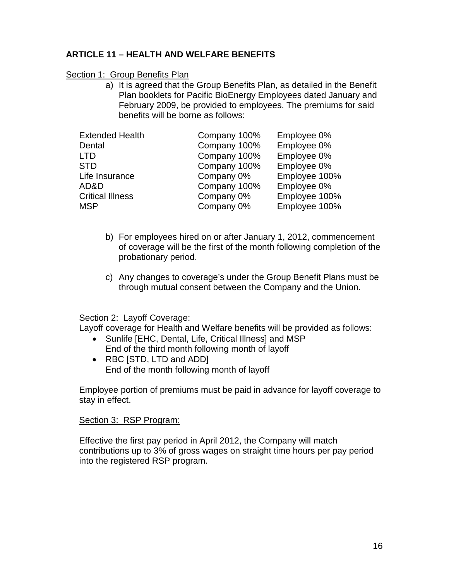## **ARTICLE 11 – HEALTH AND WELFARE BENEFITS**

## Section 1: Group Benefits Plan

a) It is agreed that the Group Benefits Plan, as detailed in the Benefit Plan booklets for Pacific BioEnergy Employees dated January and February 2009, be provided to employees. The premiums for said benefits will be borne as follows:

| <b>Extended Health</b>  | Company 100% | Employee 0%   |
|-------------------------|--------------|---------------|
| Dental                  | Company 100% | Employee 0%   |
| <b>LTD</b>              | Company 100% | Employee 0%   |
| <b>STD</b>              | Company 100% | Employee 0%   |
| Life Insurance          | Company 0%   | Employee 100% |
| AD&D                    | Company 100% | Employee 0%   |
| <b>Critical Illness</b> | Company 0%   | Employee 100% |
| <b>MSP</b>              | Company 0%   | Employee 100% |

- b) For employees hired on or after January 1, 2012, commencement of coverage will be the first of the month following completion of the probationary period.
- c) Any changes to coverage's under the Group Benefit Plans must be through mutual consent between the Company and the Union.

## Section 2: Layoff Coverage:

Layoff coverage for Health and Welfare benefits will be provided as follows:

- Sunlife [EHC, Dental, Life, Critical Illness] and MSP End of the third month following month of layoff
- RBC ISTD, LTD and ADDI End of the month following month of layoff

Employee portion of premiums must be paid in advance for layoff coverage to stay in effect.

## Section 3: RSP Program:

Effective the first pay period in April 2012, the Company will match contributions up to 3% of gross wages on straight time hours per pay period into the registered RSP program.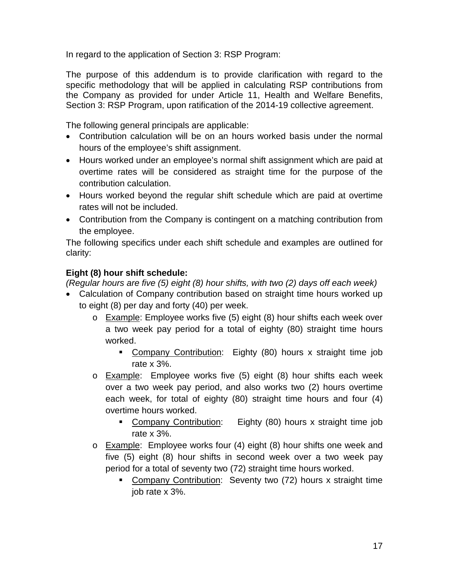In regard to the application of Section 3: RSP Program:

The purpose of this addendum is to provide clarification with regard to the specific methodology that will be applied in calculating RSP contributions from the Company as provided for under Article 11, Health and Welfare Benefits, Section 3: RSP Program, upon ratification of the 2014-19 collective agreement.

The following general principals are applicable:

- Contribution calculation will be on an hours worked basis under the normal hours of the employee's shift assignment.
- Hours worked under an employee's normal shift assignment which are paid at overtime rates will be considered as straight time for the purpose of the contribution calculation.
- Hours worked beyond the regular shift schedule which are paid at overtime rates will not be included.
- Contribution from the Company is contingent on a matching contribution from the employee.

The following specifics under each shift schedule and examples are outlined for clarity:

## **Eight (8) hour shift schedule:**

*(Regular hours are five (5) eight (8) hour shifts, with two (2) days off each week)*

- Calculation of Company contribution based on straight time hours worked up to eight (8) per day and forty (40) per week.
	- o Example: Employee works five (5) eight (8) hour shifts each week over a two week pay period for a total of eighty (80) straight time hours worked.
		- Company Contribution: Eighty (80) hours x straight time job rate x 3%.
	- o Example: Employee works five (5) eight (8) hour shifts each week over a two week pay period, and also works two (2) hours overtime each week, for total of eighty (80) straight time hours and four (4) overtime hours worked.
		- Company Contribution: Eighty (80) hours x straight time job rate x 3%.
	- $\circ$  Example: Employee works four (4) eight (8) hour shifts one week and five (5) eight (8) hour shifts in second week over a two week pay period for a total of seventy two (72) straight time hours worked.
		- Company Contribution: Seventy two (72) hours x straight time job rate x 3%.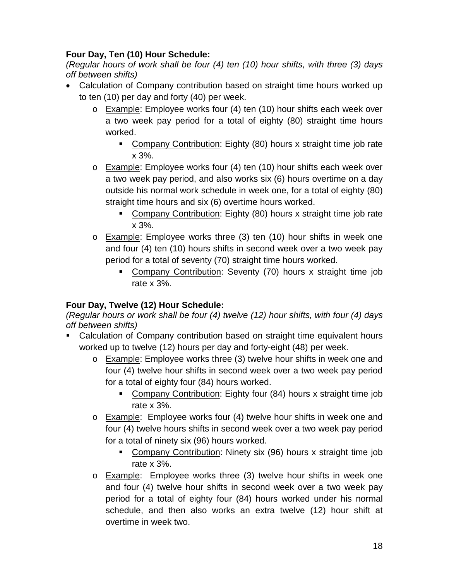# **Four Day, Ten (10) Hour Schedule:**

*(Regular hours of work shall be four (4) ten (10) hour shifts, with three (3) days off between shifts)*

- Calculation of Company contribution based on straight time hours worked up to ten (10) per day and forty (40) per week.
	- o Example: Employee works four (4) ten (10) hour shifts each week over a two week pay period for a total of eighty (80) straight time hours worked.
		- Company Contribution: Eighty (80) hours x straight time job rate x 3%.
	- o Example: Employee works four (4) ten (10) hour shifts each week over a two week pay period, and also works six (6) hours overtime on a day outside his normal work schedule in week one, for a total of eighty (80) straight time hours and six (6) overtime hours worked.
		- Company Contribution: Eighty (80) hours x straight time job rate x 3%.
	- o **Example:** Employee works three (3) ten (10) hour shifts in week one and four (4) ten (10) hours shifts in second week over a two week pay period for a total of seventy (70) straight time hours worked.
		- Company Contribution: Seventy (70) hours x straight time job rate x 3%.

# **Four Day, Twelve (12) Hour Schedule:**

*(Regular hours or work shall be four (4) twelve (12) hour shifts, with four (4) days off between shifts)*

- Calculation of Company contribution based on straight time equivalent hours worked up to twelve (12) hours per day and forty-eight (48) per week.
	- o Example: Employee works three (3) twelve hour shifts in week one and four (4) twelve hour shifts in second week over a two week pay period for a total of eighty four (84) hours worked.
		- Company Contribution: Eighty four (84) hours x straight time job rate x 3%.
	- o Example: Employee works four (4) twelve hour shifts in week one and four (4) twelve hours shifts in second week over a two week pay period for a total of ninety six (96) hours worked.
		- Company Contribution: Ninety six (96) hours x straight time job rate x 3%.
	- o Example: Employee works three (3) twelve hour shifts in week one and four (4) twelve hour shifts in second week over a two week pay period for a total of eighty four (84) hours worked under his normal schedule, and then also works an extra twelve (12) hour shift at overtime in week two.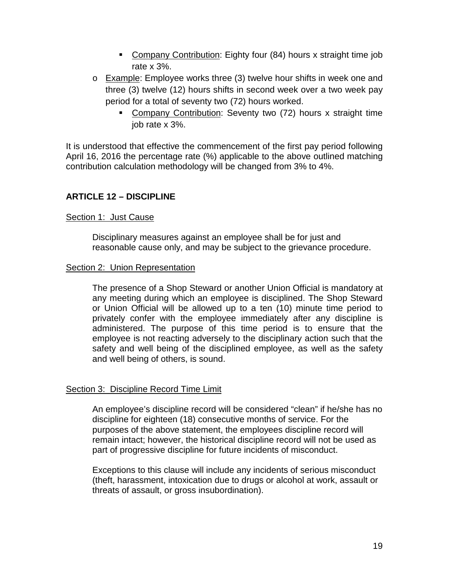- Company Contribution: Eighty four (84) hours x straight time job rate x 3%.
- o Example: Employee works three (3) twelve hour shifts in week one and three (3) twelve (12) hours shifts in second week over a two week pay period for a total of seventy two (72) hours worked.
	- Company Contribution: Seventy two (72) hours x straight time job rate x 3%.

It is understood that effective the commencement of the first pay period following April 16, 2016 the percentage rate (%) applicable to the above outlined matching contribution calculation methodology will be changed from 3% to 4%.

## **ARTICLE 12 – DISCIPLINE**

## Section 1: Just Cause

Disciplinary measures against an employee shall be for just and reasonable cause only, and may be subject to the grievance procedure.

## Section 2: Union Representation

The presence of a Shop Steward or another Union Official is mandatory at any meeting during which an employee is disciplined. The Shop Steward or Union Official will be allowed up to a ten (10) minute time period to privately confer with the employee immediately after any discipline is administered. The purpose of this time period is to ensure that the employee is not reacting adversely to the disciplinary action such that the safety and well being of the disciplined employee, as well as the safety and well being of others, is sound.

## Section 3: Discipline Record Time Limit

An employee's discipline record will be considered "clean" if he/she has no discipline for eighteen (18) consecutive months of service. For the purposes of the above statement, the employees discipline record will remain intact; however, the historical discipline record will not be used as part of progressive discipline for future incidents of misconduct.

Exceptions to this clause will include any incidents of serious misconduct (theft, harassment, intoxication due to drugs or alcohol at work, assault or threats of assault, or gross insubordination).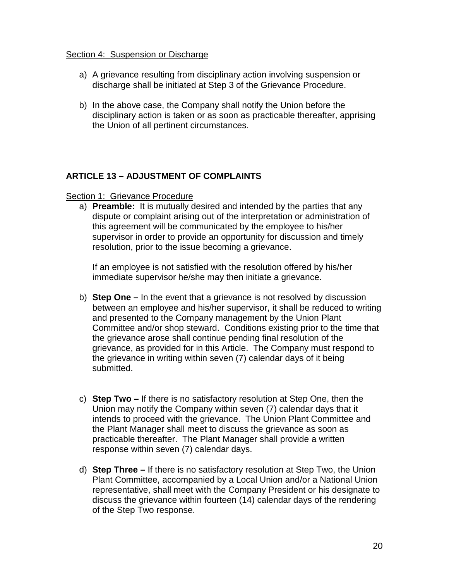#### Section 4: Suspension or Discharge

- a) A grievance resulting from disciplinary action involving suspension or discharge shall be initiated at Step 3 of the Grievance Procedure.
- b) In the above case, the Company shall notify the Union before the disciplinary action is taken or as soon as practicable thereafter, apprising the Union of all pertinent circumstances.

## **ARTICLE 13 – ADJUSTMENT OF COMPLAINTS**

## Section 1: Grievance Procedure

a) **Preamble:** It is mutually desired and intended by the parties that any dispute or complaint arising out of the interpretation or administration of this agreement will be communicated by the employee to his/her supervisor in order to provide an opportunity for discussion and timely resolution, prior to the issue becoming a grievance.

If an employee is not satisfied with the resolution offered by his/her immediate supervisor he/she may then initiate a grievance.

- b) **Step One –** In the event that a grievance is not resolved by discussion between an employee and his/her supervisor, it shall be reduced to writing and presented to the Company management by the Union Plant Committee and/or shop steward. Conditions existing prior to the time that the grievance arose shall continue pending final resolution of the grievance, as provided for in this Article. The Company must respond to the grievance in writing within seven (7) calendar days of it being submitted.
- c) **Step Two –** If there is no satisfactory resolution at Step One, then the Union may notify the Company within seven (7) calendar days that it intends to proceed with the grievance. The Union Plant Committee and the Plant Manager shall meet to discuss the grievance as soon as practicable thereafter. The Plant Manager shall provide a written response within seven (7) calendar days.
- d) **Step Three –** If there is no satisfactory resolution at Step Two, the Union Plant Committee, accompanied by a Local Union and/or a National Union representative, shall meet with the Company President or his designate to discuss the grievance within fourteen (14) calendar days of the rendering of the Step Two response.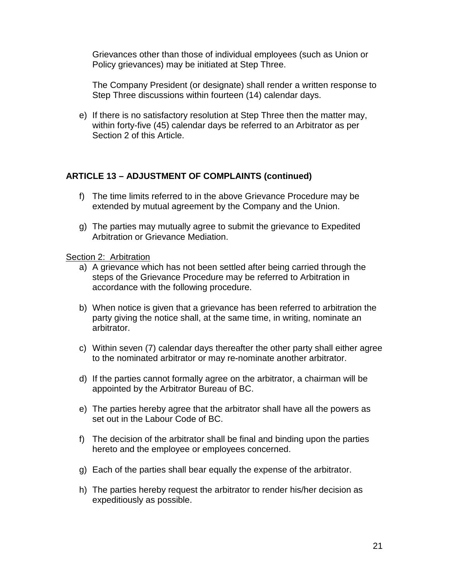Grievances other than those of individual employees (such as Union or Policy grievances) may be initiated at Step Three.

The Company President (or designate) shall render a written response to Step Three discussions within fourteen (14) calendar days.

e) If there is no satisfactory resolution at Step Three then the matter may, within forty-five (45) calendar days be referred to an Arbitrator as per Section 2 of this Article.

## **ARTICLE 13 – ADJUSTMENT OF COMPLAINTS (continued)**

- f) The time limits referred to in the above Grievance Procedure may be extended by mutual agreement by the Company and the Union.
- g) The parties may mutually agree to submit the grievance to Expedited Arbitration or Grievance Mediation.

## Section 2: Arbitration

- a) A grievance which has not been settled after being carried through the steps of the Grievance Procedure may be referred to Arbitration in accordance with the following procedure.
- b) When notice is given that a grievance has been referred to arbitration the party giving the notice shall, at the same time, in writing, nominate an arbitrator.
- c) Within seven (7) calendar days thereafter the other party shall either agree to the nominated arbitrator or may re-nominate another arbitrator.
- d) If the parties cannot formally agree on the arbitrator, a chairman will be appointed by the Arbitrator Bureau of BC.
- e) The parties hereby agree that the arbitrator shall have all the powers as set out in the Labour Code of BC.
- f) The decision of the arbitrator shall be final and binding upon the parties hereto and the employee or employees concerned.
- g) Each of the parties shall bear equally the expense of the arbitrator.
- h) The parties hereby request the arbitrator to render his/her decision as expeditiously as possible.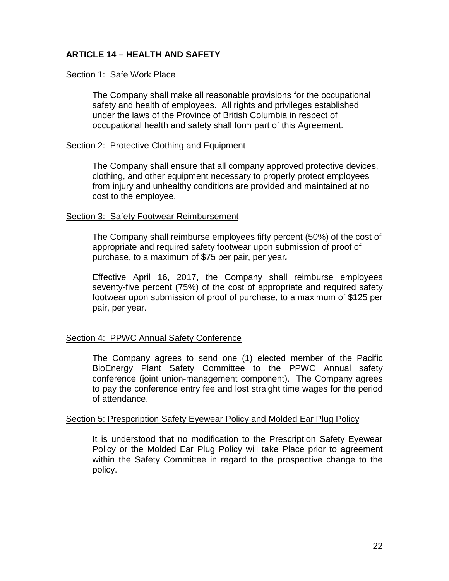## **ARTICLE 14 – HEALTH AND SAFETY**

#### Section 1: Safe Work Place

The Company shall make all reasonable provisions for the occupational safety and health of employees. All rights and privileges established under the laws of the Province of British Columbia in respect of occupational health and safety shall form part of this Agreement.

#### Section 2: Protective Clothing and Equipment

The Company shall ensure that all company approved protective devices, clothing, and other equipment necessary to properly protect employees from injury and unhealthy conditions are provided and maintained at no cost to the employee.

#### Section 3: Safety Footwear Reimbursement

The Company shall reimburse employees fifty percent (50%) of the cost of appropriate and required safety footwear upon submission of proof of purchase, to a maximum of \$75 per pair, per year*.*

Effective April 16, 2017, the Company shall reimburse employees seventy-five percent (75%) of the cost of appropriate and required safety footwear upon submission of proof of purchase, to a maximum of \$125 per pair, per year.

## Section 4: PPWC Annual Safety Conference

The Company agrees to send one (1) elected member of the Pacific BioEnergy Plant Safety Committee to the PPWC Annual safety conference (joint union-management component). The Company agrees to pay the conference entry fee and lost straight time wages for the period of attendance.

#### Section 5: Prespcription Safety Eyewear Policy and Molded Ear Plug Policy

It is understood that no modification to the Prescription Safety Eyewear Policy or the Molded Ear Plug Policy will take Place prior to agreement within the Safety Committee in regard to the prospective change to the policy.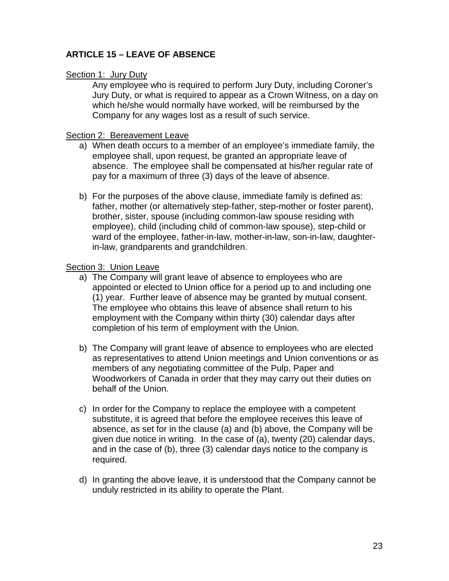## **ARTICLE 15 – LEAVE OF ABSENCE**

## Section 1: Jury Duty

Any employee who is required to perform Jury Duty, including Coroner's Jury Duty, or what is required to appear as a Crown Witness, on a day on which he/she would normally have worked, will be reimbursed by the Company for any wages lost as a result of such service.

## Section 2: Bereavement Leave

- a) When death occurs to a member of an employee's immediate family, the employee shall, upon request, be granted an appropriate leave of absence. The employee shall be compensated at his/her regular rate of pay for a maximum of three (3) days of the leave of absence.
- b) For the purposes of the above clause, immediate family is defined as: father, mother (or alternatively step-father, step-mother or foster parent), brother, sister, spouse (including common-law spouse residing with employee), child (including child of common-law spouse), step-child or ward of the employee, father-in-law, mother-in-law, son-in-law, daughterin-law, grandparents and grandchildren.

## Section 3: Union Leave

- a) The Company will grant leave of absence to employees who are appointed or elected to Union office for a period up to and including one (1) year. Further leave of absence may be granted by mutual consent. The employee who obtains this leave of absence shall return to his employment with the Company within thirty (30) calendar days after completion of his term of employment with the Union.
- b) The Company will grant leave of absence to employees who are elected as representatives to attend Union meetings and Union conventions or as members of any negotiating committee of the Pulp, Paper and Woodworkers of Canada in order that they may carry out their duties on behalf of the Union.
- c) In order for the Company to replace the employee with a competent substitute, it is agreed that before the employee receives this leave of absence, as set for in the clause (a) and (b) above, the Company will be given due notice in writing. In the case of (a), twenty (20) calendar days, and in the case of (b), three (3) calendar days notice to the company is required.
- d) In granting the above leave, it is understood that the Company cannot be unduly restricted in its ability to operate the Plant.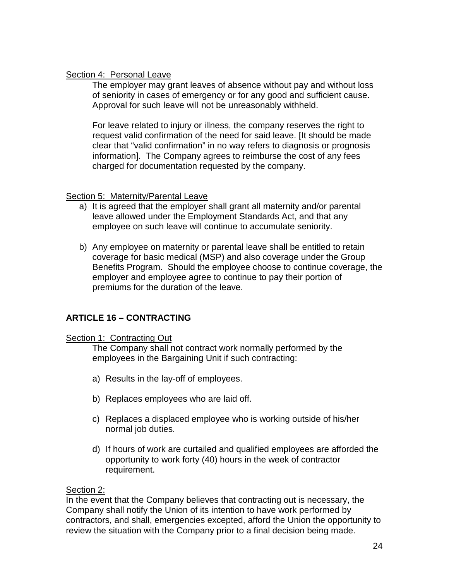## Section 4: Personal Leave

The employer may grant leaves of absence without pay and without loss of seniority in cases of emergency or for any good and sufficient cause. Approval for such leave will not be unreasonably withheld.

For leave related to injury or illness, the company reserves the right to request valid confirmation of the need for said leave. [It should be made clear that "valid confirmation" in no way refers to diagnosis or prognosis information]. The Company agrees to reimburse the cost of any fees charged for documentation requested by the company.

## Section 5: Maternity/Parental Leave

- a) It is agreed that the employer shall grant all maternity and/or parental leave allowed under the Employment Standards Act, and that any employee on such leave will continue to accumulate seniority.
- b) Any employee on maternity or parental leave shall be entitled to retain coverage for basic medical (MSP) and also coverage under the Group Benefits Program. Should the employee choose to continue coverage, the employer and employee agree to continue to pay their portion of premiums for the duration of the leave.

# **ARTICLE 16 – CONTRACTING**

## Section 1: Contracting Out

The Company shall not contract work normally performed by the employees in the Bargaining Unit if such contracting:

- a) Results in the lay-off of employees.
- b) Replaces employees who are laid off.
- c) Replaces a displaced employee who is working outside of his/her normal job duties.
- d) If hours of work are curtailed and qualified employees are afforded the opportunity to work forty (40) hours in the week of contractor requirement.

## Section 2:

In the event that the Company believes that contracting out is necessary, the Company shall notify the Union of its intention to have work performed by contractors, and shall, emergencies excepted, afford the Union the opportunity to review the situation with the Company prior to a final decision being made.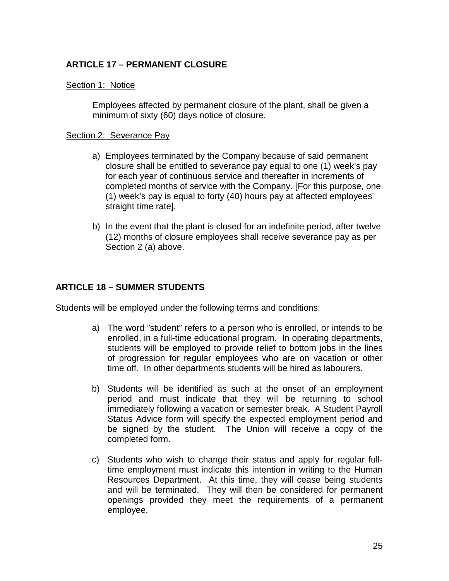## **ARTICLE 17 – PERMANENT CLOSURE**

#### Section 1: Notice

Employees affected by permanent closure of the plant, shall be given a minimum of sixty (60) days notice of closure.

#### Section 2: Severance Pay

- a) Employees terminated by the Company because of said permanent closure shall be entitled to severance pay equal to one (1) week's pay for each year of continuous service and thereafter in increments of completed months of service with the Company. [For this purpose, one (1) week's pay is equal to forty (40) hours pay at affected employees' straight time rate].
- b) In the event that the plant is closed for an indefinite period, after twelve (12) months of closure employees shall receive severance pay as per Section 2 (a) above.

## **ARTICLE 18 – SUMMER STUDENTS**

Students will be employed under the following terms and conditions:

- a) The word "student" refers to a person who is enrolled, or intends to be enrolled, in a full-time educational program. In operating departments, students will be employed to provide relief to bottom jobs in the lines of progression for regular employees who are on vacation or other time off. In other departments students will be hired as labourers.
- b) Students will be identified as such at the onset of an employment period and must indicate that they will be returning to school immediately following a vacation or semester break. A Student Payroll Status Advice form will specify the expected employment period and be signed by the student. The Union will receive a copy of the completed form.
- c) Students who wish to change their status and apply for regular fulltime employment must indicate this intention in writing to the Human Resources Department. At this time, they will cease being students and will be terminated. They will then be considered for permanent openings provided they meet the requirements of a permanent employee.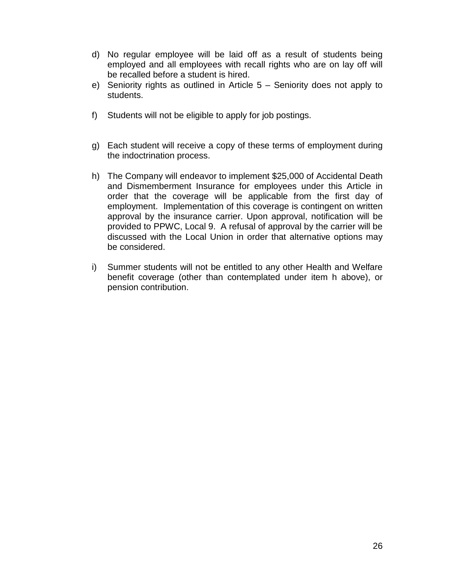- d) No regular employee will be laid off as a result of students being employed and all employees with recall rights who are on lay off will be recalled before a student is hired.
- e) Seniority rights as outlined in Article 5 Seniority does not apply to students.
- f) Students will not be eligible to apply for job postings.
- g) Each student will receive a copy of these terms of employment during the indoctrination process.
- h) The Company will endeavor to implement \$25,000 of Accidental Death and Dismemberment Insurance for employees under this Article in order that the coverage will be applicable from the first day of employment. Implementation of this coverage is contingent on written approval by the insurance carrier. Upon approval, notification will be provided to PPWC, Local 9. A refusal of approval by the carrier will be discussed with the Local Union in order that alternative options may be considered.
- i) Summer students will not be entitled to any other Health and Welfare benefit coverage (other than contemplated under item h above), or pension contribution.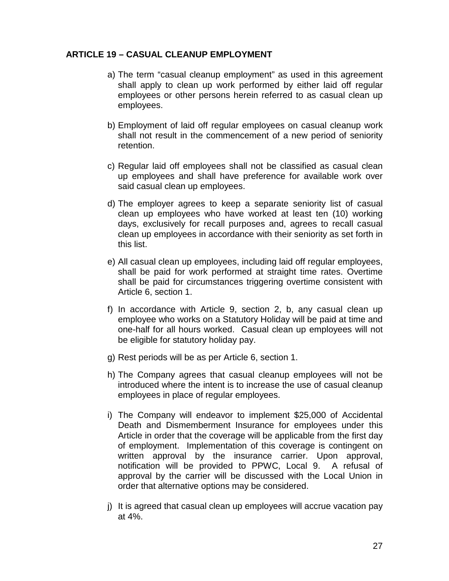## **ARTICLE 19 – CASUAL CLEANUP EMPLOYMENT**

- a) The term "casual cleanup employment" as used in this agreement shall apply to clean up work performed by either laid off regular employees or other persons herein referred to as casual clean up employees.
- b) Employment of laid off regular employees on casual cleanup work shall not result in the commencement of a new period of seniority retention.
- c) Regular laid off employees shall not be classified as casual clean up employees and shall have preference for available work over said casual clean up employees.
- d) The employer agrees to keep a separate seniority list of casual clean up employees who have worked at least ten (10) working days, exclusively for recall purposes and, agrees to recall casual clean up employees in accordance with their seniority as set forth in this list.
- e) All casual clean up employees, including laid off regular employees, shall be paid for work performed at straight time rates. Overtime shall be paid for circumstances triggering overtime consistent with Article 6, section 1.
- f) In accordance with Article 9, section 2, b, any casual clean up employee who works on a Statutory Holiday will be paid at time and one-half for all hours worked. Casual clean up employees will not be eligible for statutory holiday pay.
- g) Rest periods will be as per Article 6, section 1.
- h) The Company agrees that casual cleanup employees will not be introduced where the intent is to increase the use of casual cleanup employees in place of regular employees.
- i) The Company will endeavor to implement \$25,000 of Accidental Death and Dismemberment Insurance for employees under this Article in order that the coverage will be applicable from the first day of employment. Implementation of this coverage is contingent on written approval by the insurance carrier. Upon approval, notification will be provided to PPWC, Local 9. A refusal of approval by the carrier will be discussed with the Local Union in order that alternative options may be considered.
- j) It is agreed that casual clean up employees will accrue vacation pay at 4%.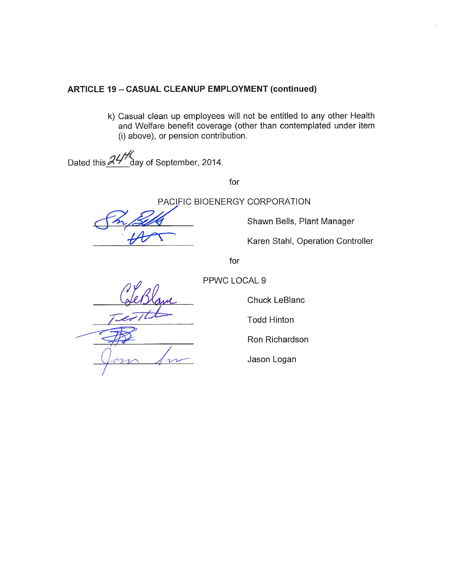## **ARTICLE 19 - CASUAL CLEANUP EMPLOYMENT (continued)**

k) Casual clean up employees will not be entitled to any other Health and Welfare benefit coverage (other than contemplated under item (i) above), or pension contribution.

Dated this 24 day of September, 2014.

for

PACIFIC BIOENERGY CORPORATION

Shawn Bells, Plant Manager

Karen Stahl, Operation Controller

for

PPWC LOCAL 9

 $\overline{1}$ 

Chuck LeBlanc

**Todd Hinton** 

Ron Richardson

Jason Logan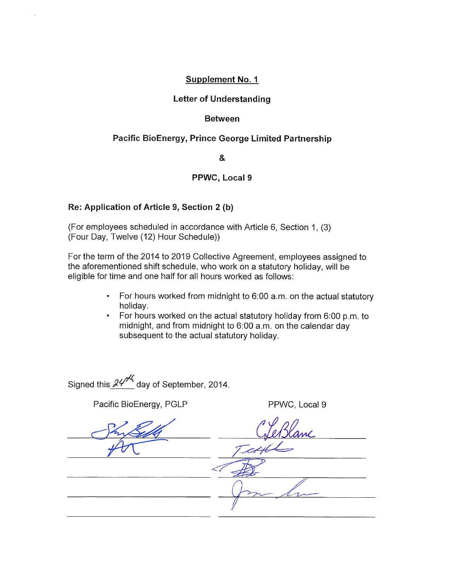#### Supplement No. 1

#### **Letter of Understanding**

#### **Between**

#### Pacific BioEnergy, Prince George Limited Partnership

&

#### PPWC, Local 9

#### Re: Application of Article 9, Section 2 (b)

(For employees scheduled in accordance with Article 6, Section 1, (3) (Four Day, Twelve (12) Hour Schedule))

For the term of the 2014 to 2019 Collective Agreement, employees assigned to the aforementioned shift schedule, who work on a statutory holiday, will be eligible for time and one half for all hours worked as follows:

- For hours worked from midnight to 6:00 a.m. on the actual statutory  $\bullet$ holiday.
- For hours worked on the actual statutory holiday from 6:00 p.m. to  $\bullet$ midnight, and from midnight to 6:00 a.m. on the calendar day subsequent to the actual statutory holiday.

Signed this  $24^{1/4}$  day of September, 2014.

Pacific BioEnergy, PGLP

PPWC, Local 9